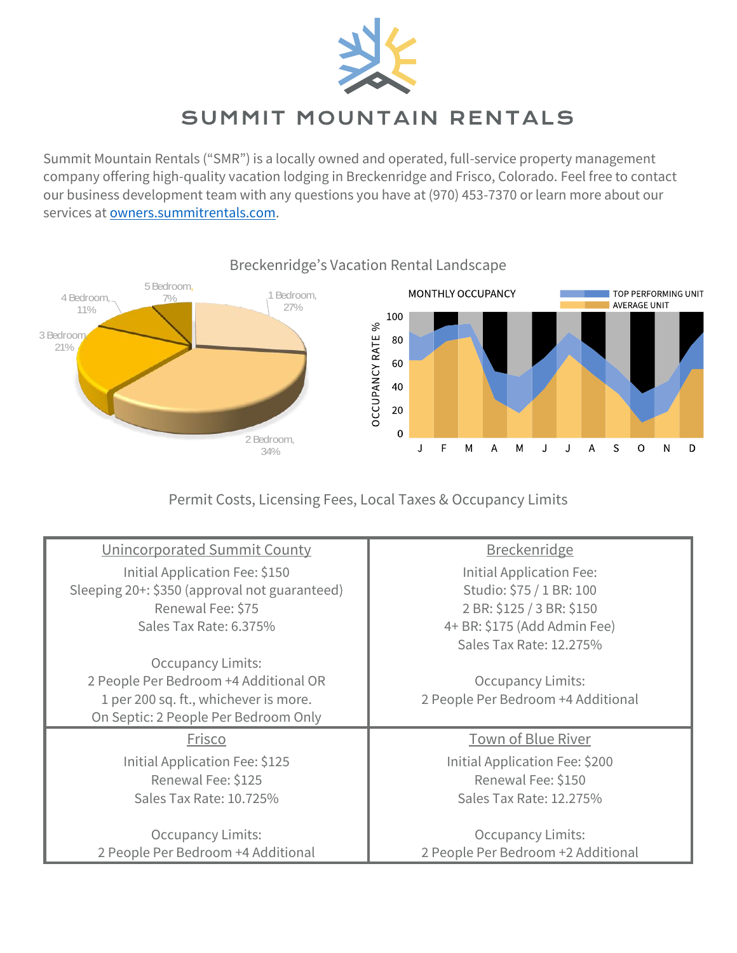

## SUMMIT MOUNTAIN RENTALS

Summit Mountain Rentals ("SMR") is a locally owned and operated, full-service property management company offering high-quality vacation lodging in Breckenridge and Frisco, Colorado. Feel free to contact our business development team with any questions you have at (970) 453-7370 or learn more about our services at [owners.summitrentals.com.](https://owners.summitrentals.com/)



Permit Costs, Licensing Fees, Local Taxes & Occupancy Limits

| Unincorporated Summit County                  | <b>Breckenridge</b>                |
|-----------------------------------------------|------------------------------------|
| Initial Application Fee: \$150                | Initial Application Fee:           |
| Sleeping 20+: \$350 (approval not guaranteed) | Studio: \$75 / 1 BR: 100           |
| Renewal Fee: \$75                             | 2 BR: \$125 / 3 BR: \$150          |
| Sales Tax Rate: 6.375%                        | 4+ BR: \$175 (Add Admin Fee)       |
|                                               | Sales Tax Rate: 12.275%            |
| <b>Occupancy Limits:</b>                      |                                    |
| 2 People Per Bedroom +4 Additional OR         | <b>Occupancy Limits:</b>           |
| 1 per 200 sq. ft., whichever is more.         | 2 People Per Bedroom +4 Additional |
| On Septic: 2 People Per Bedroom Only          |                                    |
| Frisco                                        | Town of Blue River                 |
| Initial Application Fee: \$125                | Initial Application Fee: \$200     |
| Renewal Fee: \$125                            | Renewal Fee: \$150                 |
| Sales Tax Rate: 10.725%                       | Sales Tax Rate: 12.275%            |
|                                               |                                    |
| <b>Occupancy Limits:</b>                      | <b>Occupancy Limits:</b>           |
| 2 People Per Bedroom +4 Additional            | 2 People Per Bedroom +2 Additional |